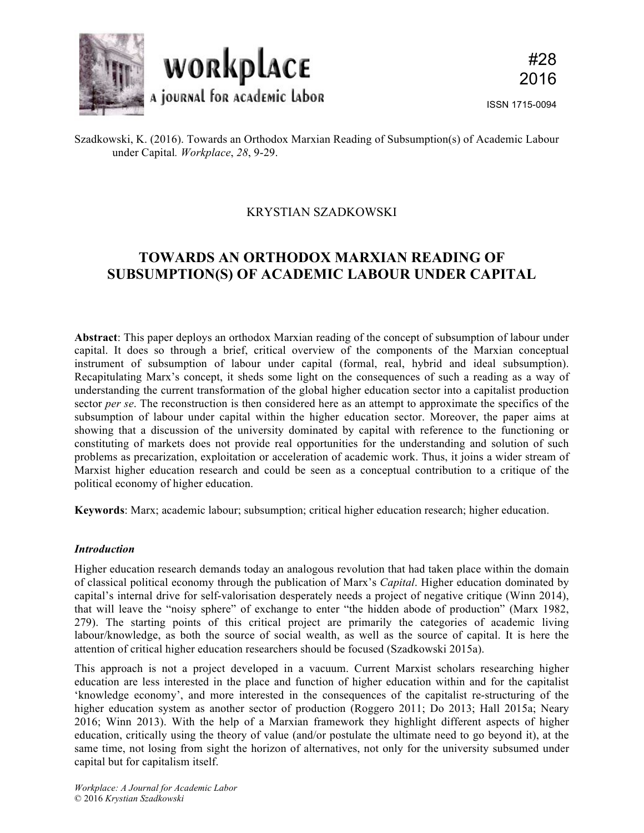

## KRYSTIAN SZADKOWSKI

# **TOWARDS AN ORTHODOX MARXIAN READING OF SUBSUMPTION(S) OF ACADEMIC LABOUR UNDER CAPITAL**

**Abstract**: This paper deploys an orthodox Marxian reading of the concept of subsumption of labour under capital. It does so through a brief, critical overview of the components of the Marxian conceptual instrument of subsumption of labour under capital (formal, real, hybrid and ideal subsumption). Recapitulating Marx's concept, it sheds some light on the consequences of such a reading as a way of understanding the current transformation of the global higher education sector into a capitalist production sector *per se*. The reconstruction is then considered here as an attempt to approximate the specifics of the subsumption of labour under capital within the higher education sector. Moreover, the paper aims at showing that a discussion of the university dominated by capital with reference to the functioning or constituting of markets does not provide real opportunities for the understanding and solution of such problems as precarization, exploitation or acceleration of academic work. Thus, it joins a wider stream of Marxist higher education research and could be seen as a conceptual contribution to a critique of the political economy of higher education.

**Keywords**: Marx; academic labour; subsumption; critical higher education research; higher education.

## *Introduction*

Higher education research demands today an analogous revolution that had taken place within the domain of classical political economy through the publication of Marx's *Capital*. Higher education dominated by capital's internal drive for self-valorisation desperately needs a project of negative critique (Winn 2014), that will leave the "noisy sphere" of exchange to enter "the hidden abode of production" (Marx 1982, 279). The starting points of this critical project are primarily the categories of academic living labour/knowledge, as both the source of social wealth, as well as the source of capital. It is here the attention of critical higher education researchers should be focused (Szadkowski 2015a).

This approach is not a project developed in a vacuum. Current Marxist scholars researching higher education are less interested in the place and function of higher education within and for the capitalist 'knowledge economy', and more interested in the consequences of the capitalist re-structuring of the higher education system as another sector of production (Roggero 2011; Do 2013; Hall 2015a; Neary 2016; Winn 2013). With the help of a Marxian framework they highlight different aspects of higher education, critically using the theory of value (and/or postulate the ultimate need to go beyond it), at the same time, not losing from sight the horizon of alternatives, not only for the university subsumed under capital but for capitalism itself.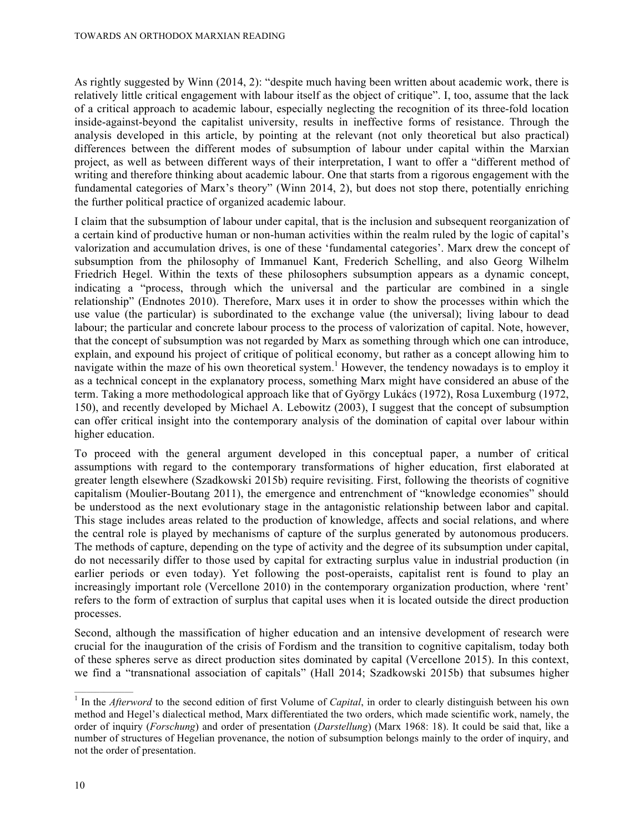As rightly suggested by Winn (2014, 2): "despite much having been written about academic work, there is relatively little critical engagement with labour itself as the object of critique". I, too, assume that the lack of a critical approach to academic labour, especially neglecting the recognition of its three-fold location inside-against-beyond the capitalist university, results in ineffective forms of resistance. Through the analysis developed in this article, by pointing at the relevant (not only theoretical but also practical) differences between the different modes of subsumption of labour under capital within the Marxian project, as well as between different ways of their interpretation, I want to offer a "different method of writing and therefore thinking about academic labour. One that starts from a rigorous engagement with the fundamental categories of Marx's theory" (Winn 2014, 2), but does not stop there, potentially enriching the further political practice of organized academic labour.

I claim that the subsumption of labour under capital, that is the inclusion and subsequent reorganization of a certain kind of productive human or non-human activities within the realm ruled by the logic of capital's valorization and accumulation drives, is one of these 'fundamental categories'. Marx drew the concept of subsumption from the philosophy of Immanuel Kant, Frederich Schelling, and also Georg Wilhelm Friedrich Hegel. Within the texts of these philosophers subsumption appears as a dynamic concept, indicating a "process, through which the universal and the particular are combined in a single relationship" (Endnotes 2010). Therefore, Marx uses it in order to show the processes within which the use value (the particular) is subordinated to the exchange value (the universal); living labour to dead labour; the particular and concrete labour process to the process of valorization of capital. Note, however, that the concept of subsumption was not regarded by Marx as something through which one can introduce, explain, and expound his project of critique of political economy, but rather as a concept allowing him to navigate within the maze of his own theoretical system.<sup>1</sup> However, the tendency nowadays is to employ it as a technical concept in the explanatory process, something Marx might have considered an abuse of the term. Taking a more methodological approach like that of György Lukács (1972), Rosa Luxemburg (1972, 150), and recently developed by Michael A. Lebowitz (2003), I suggest that the concept of subsumption can offer critical insight into the contemporary analysis of the domination of capital over labour within higher education.

To proceed with the general argument developed in this conceptual paper, a number of critical assumptions with regard to the contemporary transformations of higher education, first elaborated at greater length elsewhere (Szadkowski 2015b) require revisiting. First, following the theorists of cognitive capitalism (Moulier-Boutang 2011), the emergence and entrenchment of "knowledge economies" should be understood as the next evolutionary stage in the antagonistic relationship between labor and capital. This stage includes areas related to the production of knowledge, affects and social relations, and where the central role is played by mechanisms of capture of the surplus generated by autonomous producers. The methods of capture, depending on the type of activity and the degree of its subsumption under capital, do not necessarily differ to those used by capital for extracting surplus value in industrial production (in earlier periods or even today). Yet following the post-operaists, capitalist rent is found to play an increasingly important role (Vercellone 2010) in the contemporary organization production, where 'rent' refers to the form of extraction of surplus that capital uses when it is located outside the direct production processes.

Second, although the massification of higher education and an intensive development of research were crucial for the inauguration of the crisis of Fordism and the transition to cognitive capitalism, today both of these spheres serve as direct production sites dominated by capital (Vercellone 2015). In this context, we find a "transnational association of capitals" (Hall 2014; Szadkowski 2015b) that subsumes higher

<sup>&</sup>lt;sup>1</sup> In the *Afterword* to the second edition of first Volume of *Capital*, in order to clearly distinguish between his own method and Hegel's dialectical method, Marx differentiated the two orders, which made scientific work, namely, the order of inquiry (*Forschung*) and order of presentation (*Darstellung*) (Marx 1968: 18). It could be said that, like a number of structures of Hegelian provenance, the notion of subsumption belongs mainly to the order of inquiry, and not the order of presentation.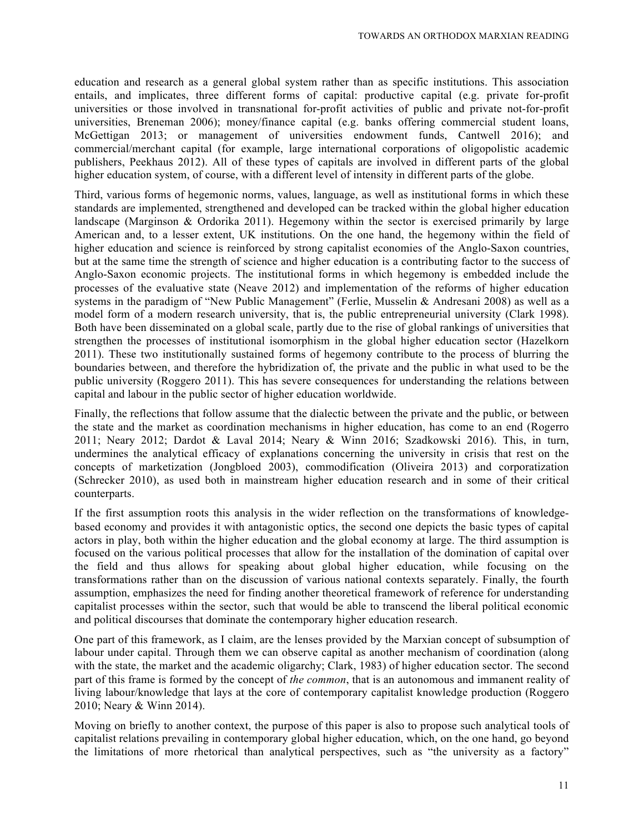education and research as a general global system rather than as specific institutions. This association entails, and implicates, three different forms of capital: productive capital (e.g. private for-profit universities or those involved in transnational for-profit activities of public and private not-for-profit universities, Breneman 2006); money/finance capital (e.g. banks offering commercial student loans, McGettigan 2013; or management of universities endowment funds, Cantwell 2016); and commercial/merchant capital (for example, large international corporations of oligopolistic academic publishers, Peekhaus 2012). All of these types of capitals are involved in different parts of the global higher education system, of course, with a different level of intensity in different parts of the globe.

Third, various forms of hegemonic norms, values, language, as well as institutional forms in which these standards are implemented, strengthened and developed can be tracked within the global higher education landscape (Marginson & Ordorika 2011). Hegemony within the sector is exercised primarily by large American and, to a lesser extent, UK institutions. On the one hand, the hegemony within the field of higher education and science is reinforced by strong capitalist economies of the Anglo-Saxon countries, but at the same time the strength of science and higher education is a contributing factor to the success of Anglo-Saxon economic projects. The institutional forms in which hegemony is embedded include the processes of the evaluative state (Neave 2012) and implementation of the reforms of higher education systems in the paradigm of "New Public Management" (Ferlie, Musselin & Andresani 2008) as well as a model form of a modern research university, that is, the public entrepreneurial university (Clark 1998). Both have been disseminated on a global scale, partly due to the rise of global rankings of universities that strengthen the processes of institutional isomorphism in the global higher education sector (Hazelkorn 2011). These two institutionally sustained forms of hegemony contribute to the process of blurring the boundaries between, and therefore the hybridization of, the private and the public in what used to be the public university (Roggero 2011). This has severe consequences for understanding the relations between capital and labour in the public sector of higher education worldwide.

Finally, the reflections that follow assume that the dialectic between the private and the public, or between the state and the market as coordination mechanisms in higher education, has come to an end (Rogerro 2011; Neary 2012; Dardot & Laval 2014; Neary & Winn 2016; Szadkowski 2016). This, in turn, undermines the analytical efficacy of explanations concerning the university in crisis that rest on the concepts of marketization (Jongbloed 2003), commodification (Oliveira 2013) and corporatization (Schrecker 2010), as used both in mainstream higher education research and in some of their critical counterparts.

If the first assumption roots this analysis in the wider reflection on the transformations of knowledgebased economy and provides it with antagonistic optics, the second one depicts the basic types of capital actors in play, both within the higher education and the global economy at large. The third assumption is focused on the various political processes that allow for the installation of the domination of capital over the field and thus allows for speaking about global higher education, while focusing on the transformations rather than on the discussion of various national contexts separately. Finally, the fourth assumption, emphasizes the need for finding another theoretical framework of reference for understanding capitalist processes within the sector, such that would be able to transcend the liberal political economic and political discourses that dominate the contemporary higher education research.

One part of this framework, as I claim, are the lenses provided by the Marxian concept of subsumption of labour under capital. Through them we can observe capital as another mechanism of coordination (along with the state, the market and the academic oligarchy; Clark, 1983) of higher education sector. The second part of this frame is formed by the concept of *the common*, that is an autonomous and immanent reality of living labour/knowledge that lays at the core of contemporary capitalist knowledge production (Roggero 2010; Neary & Winn 2014).

Moving on briefly to another context, the purpose of this paper is also to propose such analytical tools of capitalist relations prevailing in contemporary global higher education, which, on the one hand, go beyond the limitations of more rhetorical than analytical perspectives, such as "the university as a factory"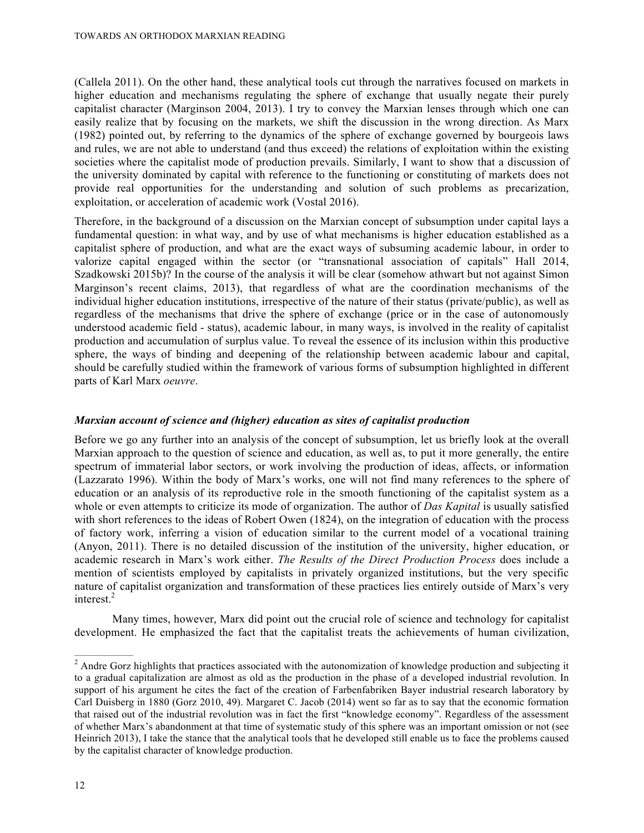(Callela 2011). On the other hand, these analytical tools cut through the narratives focused on markets in higher education and mechanisms regulating the sphere of exchange that usually negate their purely capitalist character (Marginson 2004, 2013). I try to convey the Marxian lenses through which one can easily realize that by focusing on the markets, we shift the discussion in the wrong direction. As Marx (1982) pointed out, by referring to the dynamics of the sphere of exchange governed by bourgeois laws and rules, we are not able to understand (and thus exceed) the relations of exploitation within the existing societies where the capitalist mode of production prevails. Similarly, I want to show that a discussion of the university dominated by capital with reference to the functioning or constituting of markets does not provide real opportunities for the understanding and solution of such problems as precarization, exploitation, or acceleration of academic work (Vostal 2016).

Therefore, in the background of a discussion on the Marxian concept of subsumption under capital lays a fundamental question: in what way, and by use of what mechanisms is higher education established as a capitalist sphere of production, and what are the exact ways of subsuming academic labour, in order to valorize capital engaged within the sector (or "transnational association of capitals" Hall 2014, Szadkowski 2015b)? In the course of the analysis it will be clear (somehow athwart but not against Simon Marginson's recent claims, 2013), that regardless of what are the coordination mechanisms of the individual higher education institutions, irrespective of the nature of their status (private/public), as well as regardless of the mechanisms that drive the sphere of exchange (price or in the case of autonomously understood academic field - status), academic labour, in many ways, is involved in the reality of capitalist production and accumulation of surplus value. To reveal the essence of its inclusion within this productive sphere, the ways of binding and deepening of the relationship between academic labour and capital, should be carefully studied within the framework of various forms of subsumption highlighted in different parts of Karl Marx *oeuvre*.

## *Marxian account of science and (higher) education as sites of capitalist production*

Before we go any further into an analysis of the concept of subsumption, let us briefly look at the overall Marxian approach to the question of science and education, as well as, to put it more generally, the entire spectrum of immaterial labor sectors, or work involving the production of ideas, affects, or information (Lazzarato 1996). Within the body of Marx's works, one will not find many references to the sphere of education or an analysis of its reproductive role in the smooth functioning of the capitalist system as a whole or even attempts to criticize its mode of organization. The author of *Das Kapital* is usually satisfied with short references to the ideas of Robert Owen (1824), on the integration of education with the process of factory work, inferring a vision of education similar to the current model of a vocational training (Anyon, 2011). There is no detailed discussion of the institution of the university, higher education, or academic research in Marx's work either. *The Results of the Direct Production Process* does include a mention of scientists employed by capitalists in privately organized institutions, but the very specific nature of capitalist organization and transformation of these practices lies entirely outside of Marx's very interest.<sup>2</sup>

Many times, however, Marx did point out the crucial role of science and technology for capitalist development. He emphasized the fact that the capitalist treats the achievements of human civilization,

 $\frac{1}{2}$  Andre Gorz highlights that practices associated with the autonomization of knowledge production and subjecting it to a gradual capitalization are almost as old as the production in the phase of a developed industrial revolution. In support of his argument he cites the fact of the creation of Farbenfabriken Bayer industrial research laboratory by Carl Duisberg in 1880 (Gorz 2010, 49). Margaret C. Jacob (2014) went so far as to say that the economic formation that raised out of the industrial revolution was in fact the first "knowledge economy". Regardless of the assessment of whether Marx's abandonment at that time of systematic study of this sphere was an important omission or not (see Heinrich 2013), I take the stance that the analytical tools that he developed still enable us to face the problems caused by the capitalist character of knowledge production.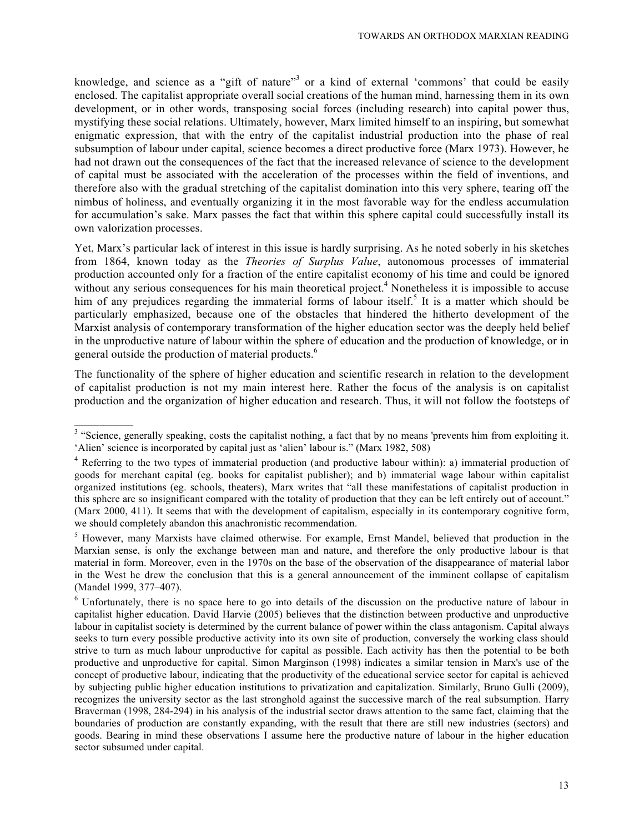knowledge, and science as a "gift of nature"<sup>3</sup> or a kind of external 'commons' that could be easily enclosed. The capitalist appropriate overall social creations of the human mind, harnessing them in its own development, or in other words, transposing social forces (including research) into capital power thus, mystifying these social relations. Ultimately, however, Marx limited himself to an inspiring, but somewhat enigmatic expression, that with the entry of the capitalist industrial production into the phase of real subsumption of labour under capital, science becomes a direct productive force (Marx 1973). However, he had not drawn out the consequences of the fact that the increased relevance of science to the development of capital must be associated with the acceleration of the processes within the field of inventions, and therefore also with the gradual stretching of the capitalist domination into this very sphere, tearing off the nimbus of holiness, and eventually organizing it in the most favorable way for the endless accumulation for accumulation's sake. Marx passes the fact that within this sphere capital could successfully install its own valorization processes.

Yet, Marx's particular lack of interest in this issue is hardly surprising. As he noted soberly in his sketches from 1864, known today as the *Theories of Surplus Value*, autonomous processes of immaterial production accounted only for a fraction of the entire capitalist economy of his time and could be ignored without any serious consequences for his main theoretical project.<sup>4</sup> Nonetheless it is impossible to accuse him of any prejudices regarding the immaterial forms of labour itself.<sup>5</sup> It is a matter which should be particularly emphasized, because one of the obstacles that hindered the hitherto development of the Marxist analysis of contemporary transformation of the higher education sector was the deeply held belief in the unproductive nature of labour within the sphere of education and the production of knowledge, or in general outside the production of material products.<sup>6</sup>

The functionality of the sphere of higher education and scientific research in relation to the development of capitalist production is not my main interest here. Rather the focus of the analysis is on capitalist production and the organization of higher education and research. Thus, it will not follow the footsteps of

<sup>&</sup>lt;sup>3</sup> "Science, generally speaking, costs the capitalist nothing, a fact that by no means 'prevents him from exploiting it. 'Alien' science is incorporated by capital just as 'alien' labour is." (Marx 1982, 508)

<sup>4</sup> Referring to the two types of immaterial production (and productive labour within): a) immaterial production of goods for merchant capital (eg. books for capitalist publisher); and b) immaterial wage labour within capitalist organized institutions (eg. schools, theaters), Marx writes that "all these manifestations of capitalist production in this sphere are so insignificant compared with the totality of production that they can be left entirely out of account." (Marx 2000, 411). It seems that with the development of capitalism, especially in its contemporary cognitive form, we should completely abandon this anachronistic recommendation.

<sup>&</sup>lt;sup>5</sup> However, many Marxists have claimed otherwise. For example, Ernst Mandel, believed that production in the Marxian sense, is only the exchange between man and nature, and therefore the only productive labour is that material in form. Moreover, even in the 1970s on the base of the observation of the disappearance of material labor in the West he drew the conclusion that this is a general announcement of the imminent collapse of capitalism (Mandel 1999, 377–407).

<sup>&</sup>lt;sup>6</sup> Unfortunately, there is no space here to go into details of the discussion on the productive nature of labour in capitalist higher education. David Harvie (2005) believes that the distinction between productive and unproductive labour in capitalist society is determined by the current balance of power within the class antagonism. Capital always seeks to turn every possible productive activity into its own site of production, conversely the working class should strive to turn as much labour unproductive for capital as possible. Each activity has then the potential to be both productive and unproductive for capital. Simon Marginson (1998) indicates a similar tension in Marx's use of the concept of productive labour, indicating that the productivity of the educational service sector for capital is achieved by subjecting public higher education institutions to privatization and capitalization. Similarly, Bruno Gulli (2009), recognizes the university sector as the last stronghold against the successive march of the real subsumption. Harry Braverman (1998, 284-294) in his analysis of the industrial sector draws attention to the same fact, claiming that the boundaries of production are constantly expanding, with the result that there are still new industries (sectors) and goods. Bearing in mind these observations I assume here the productive nature of labour in the higher education sector subsumed under capital.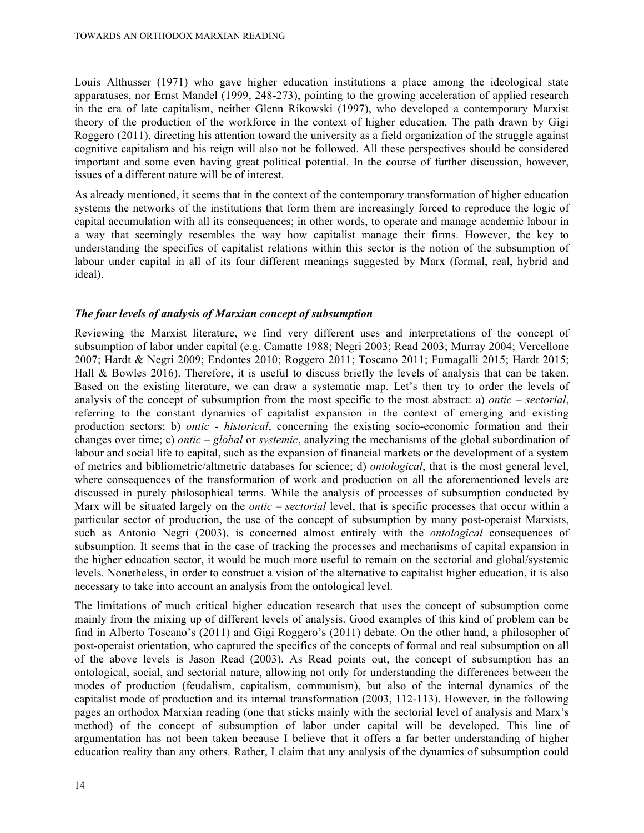Louis Althusser (1971) who gave higher education institutions a place among the ideological state apparatuses, nor Ernst Mandel (1999, 248-273), pointing to the growing acceleration of applied research in the era of late capitalism, neither Glenn Rikowski (1997), who developed a contemporary Marxist theory of the production of the workforce in the context of higher education. The path drawn by Gigi Roggero (2011), directing his attention toward the university as a field organization of the struggle against cognitive capitalism and his reign will also not be followed. All these perspectives should be considered important and some even having great political potential. In the course of further discussion, however, issues of a different nature will be of interest.

As already mentioned, it seems that in the context of the contemporary transformation of higher education systems the networks of the institutions that form them are increasingly forced to reproduce the logic of capital accumulation with all its consequences; in other words, to operate and manage academic labour in a way that seemingly resembles the way how capitalist manage their firms. However, the key to understanding the specifics of capitalist relations within this sector is the notion of the subsumption of labour under capital in all of its four different meanings suggested by Marx (formal, real, hybrid and ideal).

## *The four levels of analysis of Marxian concept of subsumption*

Reviewing the Marxist literature, we find very different uses and interpretations of the concept of subsumption of labor under capital (e.g. Camatte 1988; Negri 2003; Read 2003; Murray 2004; Vercellone 2007; Hardt & Negri 2009; Endontes 2010; Roggero 2011; Toscano 2011; Fumagalli 2015; Hardt 2015; Hall & Bowles 2016). Therefore, it is useful to discuss briefly the levels of analysis that can be taken. Based on the existing literature, we can draw a systematic map. Let's then try to order the levels of analysis of the concept of subsumption from the most specific to the most abstract: a) *ontic – sectorial*, referring to the constant dynamics of capitalist expansion in the context of emerging and existing production sectors; b) *ontic - historical*, concerning the existing socio-economic formation and their changes over time; c) *ontic – global* or *systemic*, analyzing the mechanisms of the global subordination of labour and social life to capital, such as the expansion of financial markets or the development of a system of metrics and bibliometric/altmetric databases for science; d) *ontological*, that is the most general level, where consequences of the transformation of work and production on all the aforementioned levels are discussed in purely philosophical terms. While the analysis of processes of subsumption conducted by Marx will be situated largely on the *ontic – sectorial* level, that is specific processes that occur within a particular sector of production, the use of the concept of subsumption by many post-operaist Marxists, such as Antonio Negri (2003), is concerned almost entirely with the *ontological* consequences of subsumption. It seems that in the case of tracking the processes and mechanisms of capital expansion in the higher education sector, it would be much more useful to remain on the sectorial and global/systemic levels. Nonetheless, in order to construct a vision of the alternative to capitalist higher education, it is also necessary to take into account an analysis from the ontological level.

The limitations of much critical higher education research that uses the concept of subsumption come mainly from the mixing up of different levels of analysis. Good examples of this kind of problem can be find in Alberto Toscano's (2011) and Gigi Roggero's (2011) debate. On the other hand, a philosopher of post-operaist orientation, who captured the specifics of the concepts of formal and real subsumption on all of the above levels is Jason Read (2003). As Read points out, the concept of subsumption has an ontological, social, and sectorial nature, allowing not only for understanding the differences between the modes of production (feudalism, capitalism, communism), but also of the internal dynamics of the capitalist mode of production and its internal transformation (2003, 112-113). However, in the following pages an orthodox Marxian reading (one that sticks mainly with the sectorial level of analysis and Marx's method) of the concept of subsumption of labor under capital will be developed. This line of argumentation has not been taken because I believe that it offers a far better understanding of higher education reality than any others. Rather, I claim that any analysis of the dynamics of subsumption could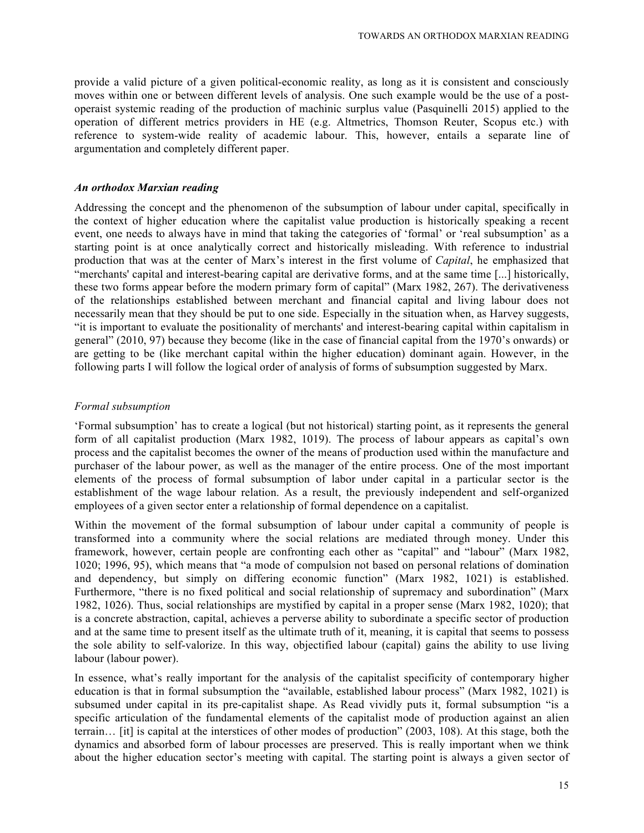provide a valid picture of a given political-economic reality, as long as it is consistent and consciously moves within one or between different levels of analysis. One such example would be the use of a postoperaist systemic reading of the production of machinic surplus value (Pasquinelli 2015) applied to the operation of different metrics providers in HE (e.g. Altmetrics, Thomson Reuter, Scopus etc.) with reference to system-wide reality of academic labour. This, however, entails a separate line of argumentation and completely different paper.

#### *An orthodox Marxian reading*

Addressing the concept and the phenomenon of the subsumption of labour under capital, specifically in the context of higher education where the capitalist value production is historically speaking a recent event, one needs to always have in mind that taking the categories of 'formal' or 'real subsumption' as a starting point is at once analytically correct and historically misleading. With reference to industrial production that was at the center of Marx's interest in the first volume of *Capital*, he emphasized that "merchants' capital and interest-bearing capital are derivative forms, and at the same time [...] historically, these two forms appear before the modern primary form of capital" (Marx 1982, 267). The derivativeness of the relationships established between merchant and financial capital and living labour does not necessarily mean that they should be put to one side. Especially in the situation when, as Harvey suggests, "it is important to evaluate the positionality of merchants' and interest-bearing capital within capitalism in general" (2010, 97) because they become (like in the case of financial capital from the 1970's onwards) or are getting to be (like merchant capital within the higher education) dominant again. However, in the following parts I will follow the logical order of analysis of forms of subsumption suggested by Marx.

#### *Formal subsumption*

'Formal subsumption' has to create a logical (but not historical) starting point, as it represents the general form of all capitalist production (Marx 1982, 1019). The process of labour appears as capital's own process and the capitalist becomes the owner of the means of production used within the manufacture and purchaser of the labour power, as well as the manager of the entire process. One of the most important elements of the process of formal subsumption of labor under capital in a particular sector is the establishment of the wage labour relation. As a result, the previously independent and self-organized employees of a given sector enter a relationship of formal dependence on a capitalist.

Within the movement of the formal subsumption of labour under capital a community of people is transformed into a community where the social relations are mediated through money. Under this framework, however, certain people are confronting each other as "capital" and "labour" (Marx 1982, 1020; 1996, 95), which means that "a mode of compulsion not based on personal relations of domination and dependency, but simply on differing economic function" (Marx 1982, 1021) is established. Furthermore, "there is no fixed political and social relationship of supremacy and subordination" (Marx 1982, 1026). Thus, social relationships are mystified by capital in a proper sense (Marx 1982, 1020); that is a concrete abstraction, capital, achieves a perverse ability to subordinate a specific sector of production and at the same time to present itself as the ultimate truth of it, meaning, it is capital that seems to possess the sole ability to self-valorize. In this way, objectified labour (capital) gains the ability to use living labour (labour power).

In essence, what's really important for the analysis of the capitalist specificity of contemporary higher education is that in formal subsumption the "available, established labour process" (Marx 1982, 1021) is subsumed under capital in its pre-capitalist shape. As Read vividly puts it, formal subsumption "is a specific articulation of the fundamental elements of the capitalist mode of production against an alien terrain… [it] is capital at the interstices of other modes of production" (2003, 108). At this stage, both the dynamics and absorbed form of labour processes are preserved. This is really important when we think about the higher education sector's meeting with capital. The starting point is always a given sector of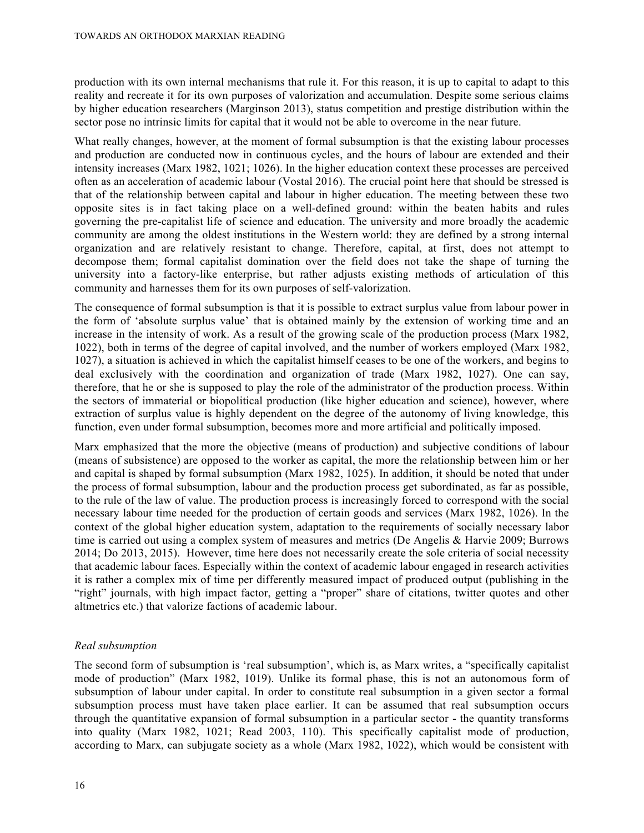production with its own internal mechanisms that rule it. For this reason, it is up to capital to adapt to this reality and recreate it for its own purposes of valorization and accumulation. Despite some serious claims by higher education researchers (Marginson 2013), status competition and prestige distribution within the sector pose no intrinsic limits for capital that it would not be able to overcome in the near future.

What really changes, however, at the moment of formal subsumption is that the existing labour processes and production are conducted now in continuous cycles, and the hours of labour are extended and their intensity increases (Marx 1982, 1021; 1026). In the higher education context these processes are perceived often as an acceleration of academic labour (Vostal 2016). The crucial point here that should be stressed is that of the relationship between capital and labour in higher education. The meeting between these two opposite sites is in fact taking place on a well-defined ground: within the beaten habits and rules governing the pre-capitalist life of science and education. The university and more broadly the academic community are among the oldest institutions in the Western world: they are defined by a strong internal organization and are relatively resistant to change. Therefore, capital, at first, does not attempt to decompose them; formal capitalist domination over the field does not take the shape of turning the university into a factory-like enterprise, but rather adjusts existing methods of articulation of this community and harnesses them for its own purposes of self-valorization.

The consequence of formal subsumption is that it is possible to extract surplus value from labour power in the form of 'absolute surplus value' that is obtained mainly by the extension of working time and an increase in the intensity of work. As a result of the growing scale of the production process (Marx 1982, 1022), both in terms of the degree of capital involved, and the number of workers employed (Marx 1982, 1027), a situation is achieved in which the capitalist himself ceases to be one of the workers, and begins to deal exclusively with the coordination and organization of trade (Marx 1982, 1027). One can say, therefore, that he or she is supposed to play the role of the administrator of the production process. Within the sectors of immaterial or biopolitical production (like higher education and science), however, where extraction of surplus value is highly dependent on the degree of the autonomy of living knowledge, this function, even under formal subsumption, becomes more and more artificial and politically imposed.

Marx emphasized that the more the objective (means of production) and subjective conditions of labour (means of subsistence) are opposed to the worker as capital, the more the relationship between him or her and capital is shaped by formal subsumption (Marx 1982, 1025). In addition, it should be noted that under the process of formal subsumption, labour and the production process get subordinated, as far as possible, to the rule of the law of value. The production process is increasingly forced to correspond with the social necessary labour time needed for the production of certain goods and services (Marx 1982, 1026). In the context of the global higher education system, adaptation to the requirements of socially necessary labor time is carried out using a complex system of measures and metrics (De Angelis & Harvie 2009; Burrows 2014; Do 2013, 2015). However, time here does not necessarily create the sole criteria of social necessity that academic labour faces. Especially within the context of academic labour engaged in research activities it is rather a complex mix of time per differently measured impact of produced output (publishing in the "right" journals, with high impact factor, getting a "proper" share of citations, twitter quotes and other altmetrics etc.) that valorize factions of academic labour.

## *Real subsumption*

The second form of subsumption is 'real subsumption', which is, as Marx writes, a "specifically capitalist mode of production" (Marx 1982, 1019). Unlike its formal phase, this is not an autonomous form of subsumption of labour under capital. In order to constitute real subsumption in a given sector a formal subsumption process must have taken place earlier. It can be assumed that real subsumption occurs through the quantitative expansion of formal subsumption in a particular sector - the quantity transforms into quality (Marx 1982, 1021; Read 2003, 110). This specifically capitalist mode of production, according to Marx, can subjugate society as a whole (Marx 1982, 1022), which would be consistent with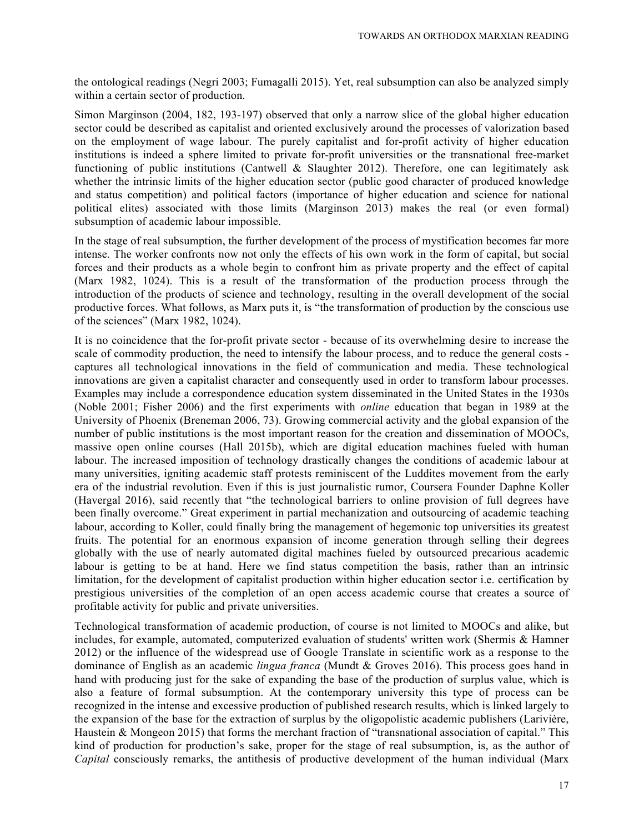the ontological readings (Negri 2003; Fumagalli 2015). Yet, real subsumption can also be analyzed simply within a certain sector of production.

Simon Marginson (2004, 182, 193-197) observed that only a narrow slice of the global higher education sector could be described as capitalist and oriented exclusively around the processes of valorization based on the employment of wage labour. The purely capitalist and for-profit activity of higher education institutions is indeed a sphere limited to private for-profit universities or the transnational free-market functioning of public institutions (Cantwell & Slaughter 2012). Therefore, one can legitimately ask whether the intrinsic limits of the higher education sector (public good character of produced knowledge and status competition) and political factors (importance of higher education and science for national political elites) associated with those limits (Marginson 2013) makes the real (or even formal) subsumption of academic labour impossible.

In the stage of real subsumption, the further development of the process of mystification becomes far more intense. The worker confronts now not only the effects of his own work in the form of capital, but social forces and their products as a whole begin to confront him as private property and the effect of capital (Marx 1982, 1024). This is a result of the transformation of the production process through the introduction of the products of science and technology, resulting in the overall development of the social productive forces. What follows, as Marx puts it, is "the transformation of production by the conscious use of the sciences" (Marx 1982, 1024).

It is no coincidence that the for-profit private sector - because of its overwhelming desire to increase the scale of commodity production, the need to intensify the labour process, and to reduce the general costs captures all technological innovations in the field of communication and media. These technological innovations are given a capitalist character and consequently used in order to transform labour processes. Examples may include a correspondence education system disseminated in the United States in the 1930s (Noble 2001; Fisher 2006) and the first experiments with *online* education that began in 1989 at the University of Phoenix (Breneman 2006, 73). Growing commercial activity and the global expansion of the number of public institutions is the most important reason for the creation and dissemination of MOOCs, massive open online courses (Hall 2015b), which are digital education machines fueled with human labour. The increased imposition of technology drastically changes the conditions of academic labour at many universities, igniting academic staff protests reminiscent of the Luddites movement from the early era of the industrial revolution. Even if this is just journalistic rumor, Coursera Founder Daphne Koller (Havergal 2016), said recently that "the technological barriers to online provision of full degrees have been finally overcome." Great experiment in partial mechanization and outsourcing of academic teaching labour, according to Koller, could finally bring the management of hegemonic top universities its greatest fruits. The potential for an enormous expansion of income generation through selling their degrees globally with the use of nearly automated digital machines fueled by outsourced precarious academic labour is getting to be at hand. Here we find status competition the basis, rather than an intrinsic limitation, for the development of capitalist production within higher education sector i.e. certification by prestigious universities of the completion of an open access academic course that creates a source of profitable activity for public and private universities.

Technological transformation of academic production, of course is not limited to MOOCs and alike, but includes, for example, automated, computerized evaluation of students' written work (Shermis & Hamner 2012) or the influence of the widespread use of Google Translate in scientific work as a response to the dominance of English as an academic *lingua franca* (Mundt & Groves 2016). This process goes hand in hand with producing just for the sake of expanding the base of the production of surplus value, which is also a feature of formal subsumption. At the contemporary university this type of process can be recognized in the intense and excessive production of published research results, which is linked largely to the expansion of the base for the extraction of surplus by the oligopolistic academic publishers (Larivière, Haustein & Mongeon 2015) that forms the merchant fraction of "transnational association of capital." This kind of production for production's sake, proper for the stage of real subsumption, is, as the author of *Capital* consciously remarks, the antithesis of productive development of the human individual (Marx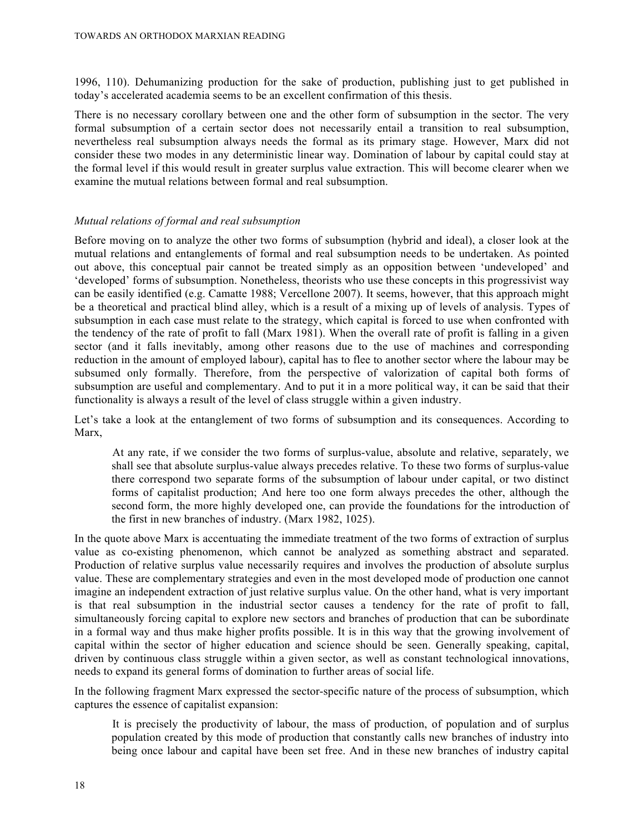1996, 110). Dehumanizing production for the sake of production, publishing just to get published in today's accelerated academia seems to be an excellent confirmation of this thesis.

There is no necessary corollary between one and the other form of subsumption in the sector. The very formal subsumption of a certain sector does not necessarily entail a transition to real subsumption, nevertheless real subsumption always needs the formal as its primary stage. However, Marx did not consider these two modes in any deterministic linear way. Domination of labour by capital could stay at the formal level if this would result in greater surplus value extraction. This will become clearer when we examine the mutual relations between formal and real subsumption.

## *Mutual relations of formal and real subsumption*

Before moving on to analyze the other two forms of subsumption (hybrid and ideal), a closer look at the mutual relations and entanglements of formal and real subsumption needs to be undertaken. As pointed out above, this conceptual pair cannot be treated simply as an opposition between 'undeveloped' and 'developed' forms of subsumption. Nonetheless, theorists who use these concepts in this progressivist way can be easily identified (e.g. Camatte 1988; Vercellone 2007). It seems, however, that this approach might be a theoretical and practical blind alley, which is a result of a mixing up of levels of analysis. Types of subsumption in each case must relate to the strategy, which capital is forced to use when confronted with the tendency of the rate of profit to fall (Marx 1981). When the overall rate of profit is falling in a given sector (and it falls inevitably, among other reasons due to the use of machines and corresponding reduction in the amount of employed labour), capital has to flee to another sector where the labour may be subsumed only formally. Therefore, from the perspective of valorization of capital both forms of subsumption are useful and complementary. And to put it in a more political way, it can be said that their functionality is always a result of the level of class struggle within a given industry.

Let's take a look at the entanglement of two forms of subsumption and its consequences. According to Marx,

At any rate, if we consider the two forms of surplus-value, absolute and relative, separately, we shall see that absolute surplus-value always precedes relative. To these two forms of surplus-value there correspond two separate forms of the subsumption of labour under capital, or two distinct forms of capitalist production; And here too one form always precedes the other, although the second form, the more highly developed one, can provide the foundations for the introduction of the first in new branches of industry. (Marx 1982, 1025).

In the quote above Marx is accentuating the immediate treatment of the two forms of extraction of surplus value as co-existing phenomenon, which cannot be analyzed as something abstract and separated. Production of relative surplus value necessarily requires and involves the production of absolute surplus value. These are complementary strategies and even in the most developed mode of production one cannot imagine an independent extraction of just relative surplus value. On the other hand, what is very important is that real subsumption in the industrial sector causes a tendency for the rate of profit to fall, simultaneously forcing capital to explore new sectors and branches of production that can be subordinate in a formal way and thus make higher profits possible. It is in this way that the growing involvement of capital within the sector of higher education and science should be seen. Generally speaking, capital, driven by continuous class struggle within a given sector, as well as constant technological innovations, needs to expand its general forms of domination to further areas of social life.

In the following fragment Marx expressed the sector-specific nature of the process of subsumption, which captures the essence of capitalist expansion:

It is precisely the productivity of labour, the mass of production, of population and of surplus population created by this mode of production that constantly calls new branches of industry into being once labour and capital have been set free. And in these new branches of industry capital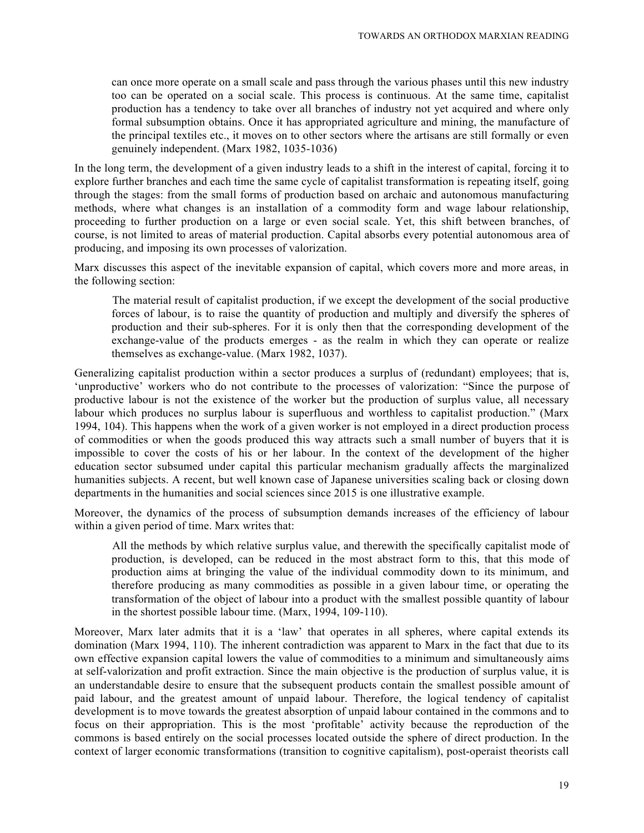can once more operate on a small scale and pass through the various phases until this new industry too can be operated on a social scale. This process is continuous. At the same time, capitalist production has a tendency to take over all branches of industry not yet acquired and where only formal subsumption obtains. Once it has appropriated agriculture and mining, the manufacture of the principal textiles etc., it moves on to other sectors where the artisans are still formally or even genuinely independent. (Marx 1982, 1035-1036)

In the long term, the development of a given industry leads to a shift in the interest of capital, forcing it to explore further branches and each time the same cycle of capitalist transformation is repeating itself, going through the stages: from the small forms of production based on archaic and autonomous manufacturing methods, where what changes is an installation of a commodity form and wage labour relationship, proceeding to further production on a large or even social scale. Yet, this shift between branches, of course, is not limited to areas of material production. Capital absorbs every potential autonomous area of producing, and imposing its own processes of valorization.

Marx discusses this aspect of the inevitable expansion of capital, which covers more and more areas, in the following section:

The material result of capitalist production, if we except the development of the social productive forces of labour, is to raise the quantity of production and multiply and diversify the spheres of production and their sub-spheres. For it is only then that the corresponding development of the exchange-value of the products emerges - as the realm in which they can operate or realize themselves as exchange-value. (Marx 1982, 1037).

Generalizing capitalist production within a sector produces a surplus of (redundant) employees; that is, 'unproductive' workers who do not contribute to the processes of valorization: "Since the purpose of productive labour is not the existence of the worker but the production of surplus value, all necessary labour which produces no surplus labour is superfluous and worthless to capitalist production." (Marx 1994, 104). This happens when the work of a given worker is not employed in a direct production process of commodities or when the goods produced this way attracts such a small number of buyers that it is impossible to cover the costs of his or her labour. In the context of the development of the higher education sector subsumed under capital this particular mechanism gradually affects the marginalized humanities subjects. A recent, but well known case of Japanese universities scaling back or closing down departments in the humanities and social sciences since 2015 is one illustrative example.

Moreover, the dynamics of the process of subsumption demands increases of the efficiency of labour within a given period of time. Marx writes that:

All the methods by which relative surplus value, and therewith the specifically capitalist mode of production, is developed, can be reduced in the most abstract form to this, that this mode of production aims at bringing the value of the individual commodity down to its minimum, and therefore producing as many commodities as possible in a given labour time, or operating the transformation of the object of labour into a product with the smallest possible quantity of labour in the shortest possible labour time. (Marx, 1994, 109-110).

Moreover, Marx later admits that it is a 'law' that operates in all spheres, where capital extends its domination (Marx 1994, 110). The inherent contradiction was apparent to Marx in the fact that due to its own effective expansion capital lowers the value of commodities to a minimum and simultaneously aims at self-valorization and profit extraction. Since the main objective is the production of surplus value, it is an understandable desire to ensure that the subsequent products contain the smallest possible amount of paid labour, and the greatest amount of unpaid labour. Therefore, the logical tendency of capitalist development is to move towards the greatest absorption of unpaid labour contained in the commons and to focus on their appropriation. This is the most 'profitable' activity because the reproduction of the commons is based entirely on the social processes located outside the sphere of direct production. In the context of larger economic transformations (transition to cognitive capitalism), post-operaist theorists call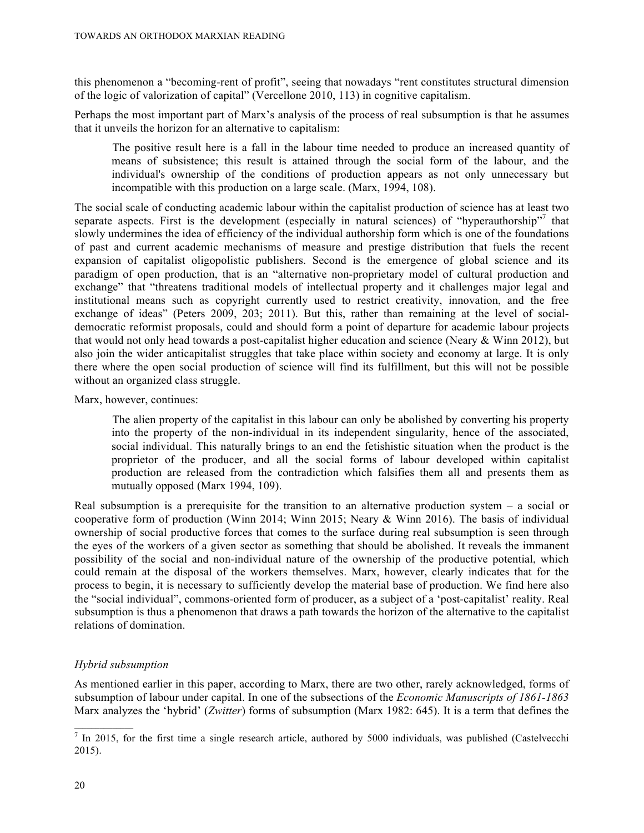this phenomenon a "becoming-rent of profit", seeing that nowadays "rent constitutes structural dimension of the logic of valorization of capital" (Vercellone 2010, 113) in cognitive capitalism.

Perhaps the most important part of Marx's analysis of the process of real subsumption is that he assumes that it unveils the horizon for an alternative to capitalism:

The positive result here is a fall in the labour time needed to produce an increased quantity of means of subsistence; this result is attained through the social form of the labour, and the individual's ownership of the conditions of production appears as not only unnecessary but incompatible with this production on a large scale. (Marx, 1994, 108).

The social scale of conducting academic labour within the capitalist production of science has at least two separate aspects. First is the development (especially in natural sciences) of "hyperauthorship"<sup>7</sup> that slowly undermines the idea of efficiency of the individual authorship form which is one of the foundations of past and current academic mechanisms of measure and prestige distribution that fuels the recent expansion of capitalist oligopolistic publishers. Second is the emergence of global science and its paradigm of open production, that is an "alternative non-proprietary model of cultural production and exchange" that "threatens traditional models of intellectual property and it challenges major legal and institutional means such as copyright currently used to restrict creativity, innovation, and the free exchange of ideas" (Peters 2009, 203; 2011). But this, rather than remaining at the level of socialdemocratic reformist proposals, could and should form a point of departure for academic labour projects that would not only head towards a post-capitalist higher education and science (Neary & Winn 2012), but also join the wider anticapitalist struggles that take place within society and economy at large. It is only there where the open social production of science will find its fulfillment, but this will not be possible without an organized class struggle.

Marx, however, continues:

The alien property of the capitalist in this labour can only be abolished by converting his property into the property of the non-individual in its independent singularity, hence of the associated, social individual. This naturally brings to an end the fetishistic situation when the product is the proprietor of the producer, and all the social forms of labour developed within capitalist production are released from the contradiction which falsifies them all and presents them as mutually opposed (Marx 1994, 109).

Real subsumption is a prerequisite for the transition to an alternative production system – a social or cooperative form of production (Winn 2014; Winn 2015; Neary & Winn 2016). The basis of individual ownership of social productive forces that comes to the surface during real subsumption is seen through the eyes of the workers of a given sector as something that should be abolished. It reveals the immanent possibility of the social and non-individual nature of the ownership of the productive potential, which could remain at the disposal of the workers themselves. Marx, however, clearly indicates that for the process to begin, it is necessary to sufficiently develop the material base of production. We find here also the "social individual", commons-oriented form of producer, as a subject of a 'post-capitalist' reality. Real subsumption is thus a phenomenon that draws a path towards the horizon of the alternative to the capitalist relations of domination.

## *Hybrid subsumption*

As mentioned earlier in this paper, according to Marx, there are two other, rarely acknowledged, forms of subsumption of labour under capital. In one of the subsections of the *Economic Manuscripts of 1861-1863*  Marx analyzes the 'hybrid' (*Zwitter*) forms of subsumption (Marx 1982: 645). It is a term that defines the

 $\frac{1}{\sqrt{7}}$  In 2015, for the first time a single research article, authored by 5000 individuals, was published (Castelvecchi 2015).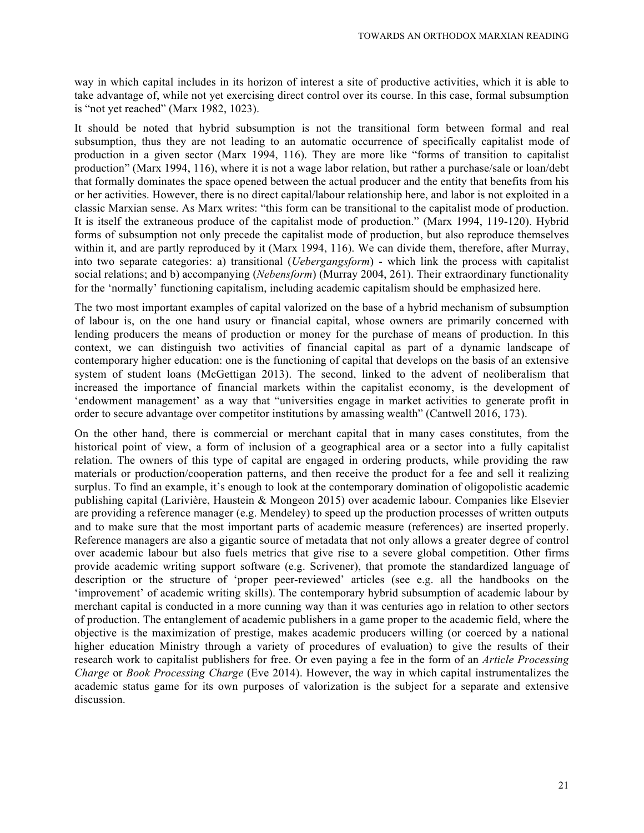way in which capital includes in its horizon of interest a site of productive activities, which it is able to take advantage of, while not yet exercising direct control over its course. In this case, formal subsumption is "not yet reached" (Marx 1982, 1023).

It should be noted that hybrid subsumption is not the transitional form between formal and real subsumption, thus they are not leading to an automatic occurrence of specifically capitalist mode of production in a given sector (Marx 1994, 116). They are more like "forms of transition to capitalist production" (Marx 1994, 116), where it is not a wage labor relation, but rather a purchase/sale or loan/debt that formally dominates the space opened between the actual producer and the entity that benefits from his or her activities. However, there is no direct capital/labour relationship here, and labor is not exploited in a classic Marxian sense. As Marx writes: "this form can be transitional to the capitalist mode of production. It is itself the extraneous produce of the capitalist mode of production." (Marx 1994, 119-120). Hybrid forms of subsumption not only precede the capitalist mode of production, but also reproduce themselves within it, and are partly reproduced by it (Marx 1994, 116). We can divide them, therefore, after Murray, into two separate categories: a) transitional (*Uebergangsform*) - which link the process with capitalist social relations; and b) accompanying (*Nebensform*) (Murray 2004, 261). Their extraordinary functionality for the 'normally' functioning capitalism, including academic capitalism should be emphasized here.

The two most important examples of capital valorized on the base of a hybrid mechanism of subsumption of labour is, on the one hand usury or financial capital, whose owners are primarily concerned with lending producers the means of production or money for the purchase of means of production. In this context, we can distinguish two activities of financial capital as part of a dynamic landscape of contemporary higher education: one is the functioning of capital that develops on the basis of an extensive system of student loans (McGettigan 2013). The second, linked to the advent of neoliberalism that increased the importance of financial markets within the capitalist economy, is the development of 'endowment management' as a way that "universities engage in market activities to generate profit in order to secure advantage over competitor institutions by amassing wealth" (Cantwell 2016, 173).

On the other hand, there is commercial or merchant capital that in many cases constitutes, from the historical point of view, a form of inclusion of a geographical area or a sector into a fully capitalist relation. The owners of this type of capital are engaged in ordering products, while providing the raw materials or production/cooperation patterns, and then receive the product for a fee and sell it realizing surplus. To find an example, it's enough to look at the contemporary domination of oligopolistic academic publishing capital (Larivière, Haustein & Mongeon 2015) over academic labour. Companies like Elsevier are providing a reference manager (e.g. Mendeley) to speed up the production processes of written outputs and to make sure that the most important parts of academic measure (references) are inserted properly. Reference managers are also a gigantic source of metadata that not only allows a greater degree of control over academic labour but also fuels metrics that give rise to a severe global competition. Other firms provide academic writing support software (e.g. Scrivener), that promote the standardized language of description or the structure of 'proper peer-reviewed' articles (see e.g. all the handbooks on the 'improvement' of academic writing skills). The contemporary hybrid subsumption of academic labour by merchant capital is conducted in a more cunning way than it was centuries ago in relation to other sectors of production. The entanglement of academic publishers in a game proper to the academic field, where the objective is the maximization of prestige, makes academic producers willing (or coerced by a national higher education Ministry through a variety of procedures of evaluation) to give the results of their research work to capitalist publishers for free. Or even paying a fee in the form of an *Article Processing Charge* or *Book Processing Charge* (Eve 2014). However, the way in which capital instrumentalizes the academic status game for its own purposes of valorization is the subject for a separate and extensive discussion.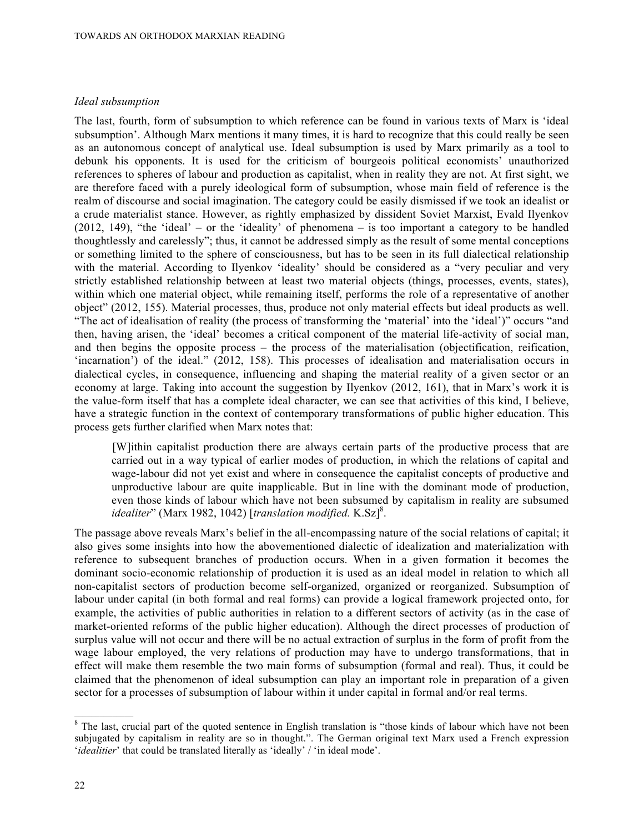#### *Ideal subsumption*

The last, fourth, form of subsumption to which reference can be found in various texts of Marx is 'ideal subsumption'. Although Marx mentions it many times, it is hard to recognize that this could really be seen as an autonomous concept of analytical use. Ideal subsumption is used by Marx primarily as a tool to debunk his opponents. It is used for the criticism of bourgeois political economists' unauthorized references to spheres of labour and production as capitalist, when in reality they are not. At first sight, we are therefore faced with a purely ideological form of subsumption, whose main field of reference is the realm of discourse and social imagination. The category could be easily dismissed if we took an idealist or a crude materialist stance. However, as rightly emphasized by dissident Soviet Marxist, Evald Ilyenkov (2012, 149), "the 'ideal' – or the 'ideality' of phenomena – is too important a category to be handled thoughtlessly and carelessly"; thus, it cannot be addressed simply as the result of some mental conceptions or something limited to the sphere of consciousness, but has to be seen in its full dialectical relationship with the material. According to Ilyenkov 'ideality' should be considered as a "very peculiar and very strictly established relationship between at least two material objects (things, processes, events, states), within which one material object, while remaining itself, performs the role of a representative of another object" (2012, 155). Material processes, thus, produce not only material effects but ideal products as well. "The act of idealisation of reality (the process of transforming the 'material' into the 'ideal')" occurs "and then, having arisen, the 'ideal' becomes a critical component of the material life-activity of social man, and then begins the opposite process – the process of the materialisation (objectification, reification, 'incarnation') of the ideal." (2012, 158). This processes of idealisation and materialisation occurs in dialectical cycles, in consequence, influencing and shaping the material reality of a given sector or an economy at large. Taking into account the suggestion by Ilyenkov (2012, 161), that in Marx's work it is the value-form itself that has a complete ideal character, we can see that activities of this kind, I believe, have a strategic function in the context of contemporary transformations of public higher education. This process gets further clarified when Marx notes that:

[W]ithin capitalist production there are always certain parts of the productive process that are carried out in a way typical of earlier modes of production, in which the relations of capital and wage-labour did not yet exist and where in consequence the capitalist concepts of productive and unproductive labour are quite inapplicable. But in line with the dominant mode of production, even those kinds of labour which have not been subsumed by capitalism in reality are subsumed idealiter" (Marx 1982, 1042) [translation modified. K.Sz]<sup>8</sup>.

The passage above reveals Marx's belief in the all-encompassing nature of the social relations of capital; it also gives some insights into how the abovementioned dialectic of idealization and materialization with reference to subsequent branches of production occurs. When in a given formation it becomes the dominant socio-economic relationship of production it is used as an ideal model in relation to which all non-capitalist sectors of production become self-organized, organized or reorganized. Subsumption of labour under capital (in both formal and real forms) can provide a logical framework projected onto, for example, the activities of public authorities in relation to a different sectors of activity (as in the case of market-oriented reforms of the public higher education). Although the direct processes of production of surplus value will not occur and there will be no actual extraction of surplus in the form of profit from the wage labour employed, the very relations of production may have to undergo transformations, that in effect will make them resemble the two main forms of subsumption (formal and real). Thus, it could be claimed that the phenomenon of ideal subsumption can play an important role in preparation of a given sector for a processes of subsumption of labour within it under capital in formal and/or real terms.

 $\overline{\text{B}}$  The last, crucial part of the quoted sentence in English translation is "those kinds of labour which have not been subjugated by capitalism in reality are so in thought.". The German original text Marx used a French expression '*idealitier*' that could be translated literally as 'ideally' / 'in ideal mode'.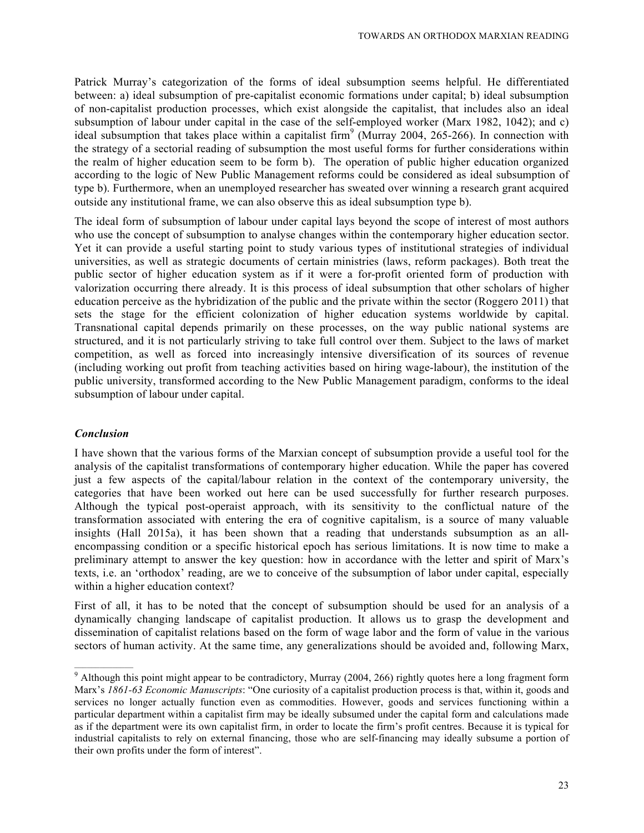Patrick Murray's categorization of the forms of ideal subsumption seems helpful. He differentiated between: a) ideal subsumption of pre-capitalist economic formations under capital; b) ideal subsumption of non-capitalist production processes, which exist alongside the capitalist, that includes also an ideal subsumption of labour under capital in the case of the self-employed worker (Marx 1982, 1042); and c) ideal subsumption that takes place within a capitalist firm<sup>9</sup> (Murray 2004, 265-266). In connection with the strategy of a sectorial reading of subsumption the most useful forms for further considerations within the realm of higher education seem to be form b). The operation of public higher education organized according to the logic of New Public Management reforms could be considered as ideal subsumption of type b). Furthermore, when an unemployed researcher has sweated over winning a research grant acquired outside any institutional frame, we can also observe this as ideal subsumption type b).

The ideal form of subsumption of labour under capital lays beyond the scope of interest of most authors who use the concept of subsumption to analyse changes within the contemporary higher education sector. Yet it can provide a useful starting point to study various types of institutional strategies of individual universities, as well as strategic documents of certain ministries (laws, reform packages). Both treat the public sector of higher education system as if it were a for-profit oriented form of production with valorization occurring there already. It is this process of ideal subsumption that other scholars of higher education perceive as the hybridization of the public and the private within the sector (Roggero 2011) that sets the stage for the efficient colonization of higher education systems worldwide by capital. Transnational capital depends primarily on these processes, on the way public national systems are structured, and it is not particularly striving to take full control over them. Subject to the laws of market competition, as well as forced into increasingly intensive diversification of its sources of revenue (including working out profit from teaching activities based on hiring wage-labour), the institution of the public university, transformed according to the New Public Management paradigm, conforms to the ideal subsumption of labour under capital.

## *Conclusion*

I have shown that the various forms of the Marxian concept of subsumption provide a useful tool for the analysis of the capitalist transformations of contemporary higher education. While the paper has covered just a few aspects of the capital/labour relation in the context of the contemporary university, the categories that have been worked out here can be used successfully for further research purposes. Although the typical post-operaist approach, with its sensitivity to the conflictual nature of the transformation associated with entering the era of cognitive capitalism, is a source of many valuable insights (Hall 2015a), it has been shown that a reading that understands subsumption as an allencompassing condition or a specific historical epoch has serious limitations. It is now time to make a preliminary attempt to answer the key question: how in accordance with the letter and spirit of Marx's texts, i.e. an 'orthodox' reading, are we to conceive of the subsumption of labor under capital, especially within a higher education context?

First of all, it has to be noted that the concept of subsumption should be used for an analysis of a dynamically changing landscape of capitalist production. It allows us to grasp the development and dissemination of capitalist relations based on the form of wage labor and the form of value in the various sectors of human activity. At the same time, any generalizations should be avoided and, following Marx,

<sup>&</sup>lt;sup>9</sup> Although this point might appear to be contradictory, Murray (2004, 266) rightly quotes here a long fragment form Marx's *1861-63 Economic Manuscripts*: "One curiosity of a capitalist production process is that, within it, goods and services no longer actually function even as commodities. However, goods and services functioning within a particular department within a capitalist firm may be ideally subsumed under the capital form and calculations made as if the department were its own capitalist firm, in order to locate the firm's profit centres. Because it is typical for industrial capitalists to rely on external financing, those who are self-financing may ideally subsume a portion of their own profits under the form of interest".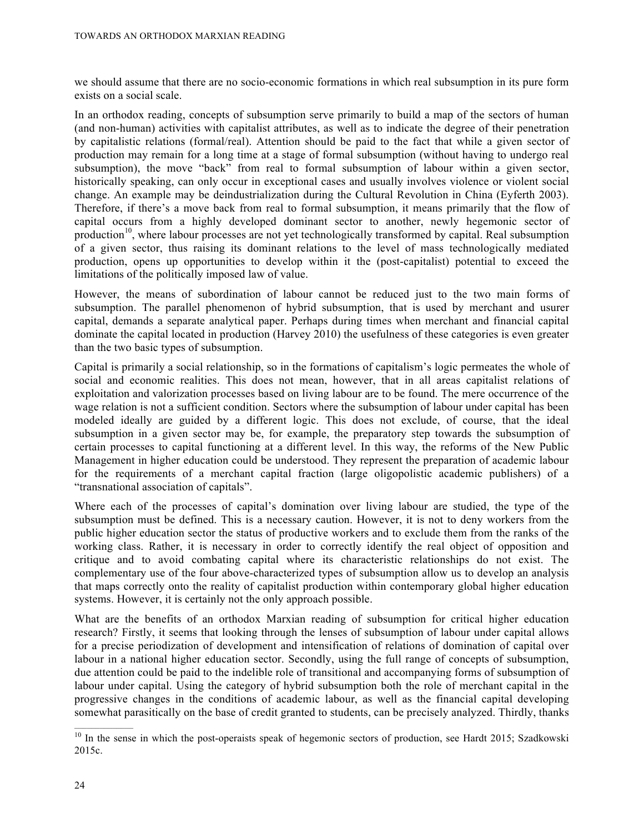we should assume that there are no socio-economic formations in which real subsumption in its pure form exists on a social scale.

In an orthodox reading, concepts of subsumption serve primarily to build a map of the sectors of human (and non-human) activities with capitalist attributes, as well as to indicate the degree of their penetration by capitalistic relations (formal/real). Attention should be paid to the fact that while a given sector of production may remain for a long time at a stage of formal subsumption (without having to undergo real subsumption), the move "back" from real to formal subsumption of labour within a given sector, historically speaking, can only occur in exceptional cases and usually involves violence or violent social change. An example may be deindustrialization during the Cultural Revolution in China (Eyferth 2003). Therefore, if there's a move back from real to formal subsumption, it means primarily that the flow of capital occurs from a highly developed dominant sector to another, newly hegemonic sector of production<sup>10</sup>, where labour processes are not yet technologically transformed by capital. Real subsumption of a given sector, thus raising its dominant relations to the level of mass technologically mediated production, opens up opportunities to develop within it the (post-capitalist) potential to exceed the limitations of the politically imposed law of value.

However, the means of subordination of labour cannot be reduced just to the two main forms of subsumption. The parallel phenomenon of hybrid subsumption, that is used by merchant and usurer capital, demands a separate analytical paper. Perhaps during times when merchant and financial capital dominate the capital located in production (Harvey 2010) the usefulness of these categories is even greater than the two basic types of subsumption.

Capital is primarily a social relationship, so in the formations of capitalism's logic permeates the whole of social and economic realities. This does not mean, however, that in all areas capitalist relations of exploitation and valorization processes based on living labour are to be found. The mere occurrence of the wage relation is not a sufficient condition. Sectors where the subsumption of labour under capital has been modeled ideally are guided by a different logic. This does not exclude, of course, that the ideal subsumption in a given sector may be, for example, the preparatory step towards the subsumption of certain processes to capital functioning at a different level. In this way, the reforms of the New Public Management in higher education could be understood. They represent the preparation of academic labour for the requirements of a merchant capital fraction (large oligopolistic academic publishers) of a "transnational association of capitals".

Where each of the processes of capital's domination over living labour are studied, the type of the subsumption must be defined. This is a necessary caution. However, it is not to deny workers from the public higher education sector the status of productive workers and to exclude them from the ranks of the working class. Rather, it is necessary in order to correctly identify the real object of opposition and critique and to avoid combating capital where its characteristic relationships do not exist. The complementary use of the four above-characterized types of subsumption allow us to develop an analysis that maps correctly onto the reality of capitalist production within contemporary global higher education systems. However, it is certainly not the only approach possible.

What are the benefits of an orthodox Marxian reading of subsumption for critical higher education research? Firstly, it seems that looking through the lenses of subsumption of labour under capital allows for a precise periodization of development and intensification of relations of domination of capital over labour in a national higher education sector. Secondly, using the full range of concepts of subsumption, due attention could be paid to the indelible role of transitional and accompanying forms of subsumption of labour under capital. Using the category of hybrid subsumption both the role of merchant capital in the progressive changes in the conditions of academic labour, as well as the financial capital developing somewhat parasitically on the base of credit granted to students, can be precisely analyzed. Thirdly, thanks

 $\frac{10}{10}$  In the sense in which the post-operaists speak of hegemonic sectors of production, see Hardt 2015; Szadkowski 2015c.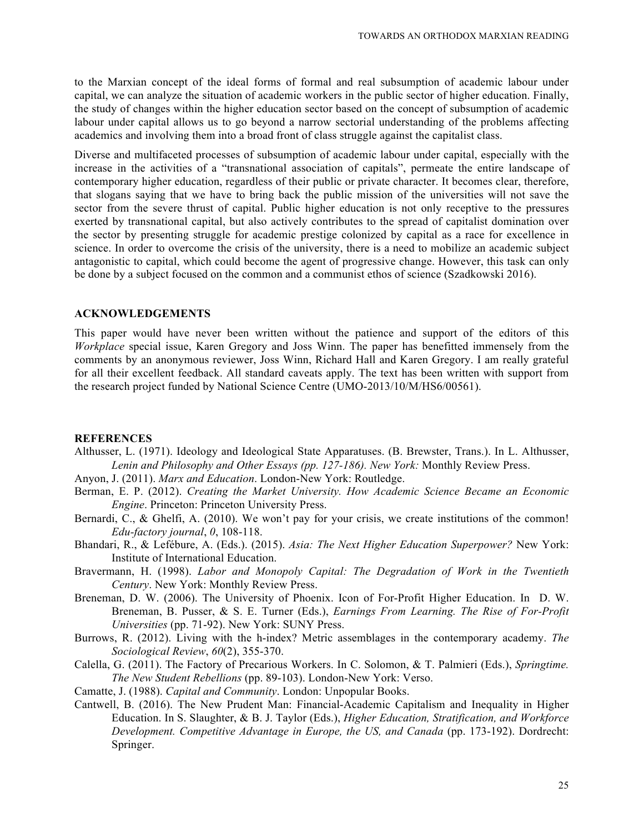to the Marxian concept of the ideal forms of formal and real subsumption of academic labour under capital, we can analyze the situation of academic workers in the public sector of higher education. Finally, the study of changes within the higher education sector based on the concept of subsumption of academic labour under capital allows us to go beyond a narrow sectorial understanding of the problems affecting academics and involving them into a broad front of class struggle against the capitalist class.

Diverse and multifaceted processes of subsumption of academic labour under capital, especially with the increase in the activities of a "transnational association of capitals", permeate the entire landscape of contemporary higher education, regardless of their public or private character. It becomes clear, therefore, that slogans saying that we have to bring back the public mission of the universities will not save the sector from the severe thrust of capital. Public higher education is not only receptive to the pressures exerted by transnational capital, but also actively contributes to the spread of capitalist domination over the sector by presenting struggle for academic prestige colonized by capital as a race for excellence in science. In order to overcome the crisis of the university, there is a need to mobilize an academic subject antagonistic to capital, which could become the agent of progressive change. However, this task can only be done by a subject focused on the common and a communist ethos of science (Szadkowski 2016).

#### **ACKNOWLEDGEMENTS**

This paper would have never been written without the patience and support of the editors of this *Workplace* special issue, Karen Gregory and Joss Winn. The paper has benefitted immensely from the comments by an anonymous reviewer, Joss Winn, Richard Hall and Karen Gregory. I am really grateful for all their excellent feedback. All standard caveats apply. The text has been written with support from the research project funded by National Science Centre (UMO-2013/10/M/HS6/00561).

#### **REFERENCES**

- Althusser, L. (1971). Ideology and Ideological State Apparatuses. (B. Brewster, Trans.). In L. Althusser, *Lenin and Philosophy and Other Essays (pp. 127-186). New York:* Monthly Review Press.
- Anyon, J. (2011). *Marx and Education*. London-New York: Routledge.
- Berman, E. P. (2012). *Creating the Market University. How Academic Science Became an Economic Engine*. Princeton: Princeton University Press.
- Bernardi, C., & Ghelfi, A. (2010). We won't pay for your crisis, we create institutions of the common! *Edu-factory journal*, *0*, 108-118.
- Bhandari, R., & Lefébure, A. (Eds.). (2015). *Asia: The Next Higher Education Superpower?* New York: Institute of International Education.
- Bravermann, H. (1998). *Labor and Monopoly Capital: The Degradation of Work in the Twentieth Century*. New York: Monthly Review Press.
- Breneman, D. W. (2006). The University of Phoenix. Icon of For-Profit Higher Education. In D. W. Breneman, B. Pusser, & S. E. Turner (Eds.), *Earnings From Learning. The Rise of For-Profit Universities* (pp. 71-92). New York: SUNY Press.
- Burrows, R. (2012). Living with the h-index? Metric assemblages in the contemporary academy. *The Sociological Review*, *60*(2), 355-370.
- Calella, G. (2011). The Factory of Precarious Workers. In C. Solomon, & T. Palmieri (Eds.), *Springtime. The New Student Rebellions* (pp. 89-103). London-New York: Verso.
- Camatte, J. (1988). *Capital and Community*. London: Unpopular Books.
- Cantwell, B. (2016). The New Prudent Man: Financial-Academic Capitalism and Inequality in Higher Education. In S. Slaughter, & B. J. Taylor (Eds.), *Higher Education, Stratification, and Workforce Development. Competitive Advantage in Europe, the US, and Canada* (pp. 173-192). Dordrecht: Springer.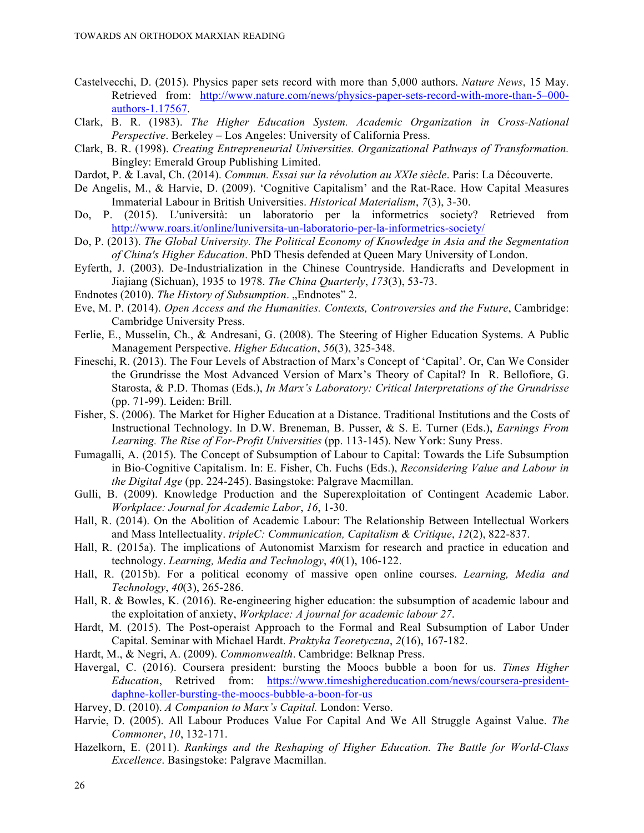- Castelvecchi, D. (2015). Physics paper sets record with more than 5,000 authors. *Nature News*, 15 May. Retrieved from: http://www.nature.com/news/physics-paper-sets-record-with-more-than-5–000 authors-1.17567.
- Clark, B. R. (1983). *The Higher Education System. Academic Organization in Cross-National Perspective*. Berkeley – Los Angeles: University of California Press.
- Clark, B. R. (1998). *Creating Entrepreneurial Universities. Organizational Pathways of Transformation.* Bingley: Emerald Group Publishing Limited.
- Dardot, P. & Laval, Ch. (2014). *Commun. Essai sur la révolution au XXIe siècle*. Paris: La Découverte.
- De Angelis, M., & Harvie, D. (2009). 'Cognitive Capitalism' and the Rat-Race. How Capital Measures Immaterial Labour in British Universities. *Historical Materialism*, *7*(3), 3-30.
- Do, P. (2015). L'università: un laboratorio per la informetrics society? Retrieved from http://www.roars.it/online/luniversita-un-laboratorio-per-la-informetrics-society/
- Do, P. (2013). *The Global University. The Political Economy of Knowledge in Asia and the Segmentation of China's Higher Education*. PhD Thesis defended at Queen Mary University of London.
- Eyferth, J. (2003). De-Industrialization in the Chinese Countryside. Handicrafts and Development in Jiajiang (Sichuan), 1935 to 1978. *The China Quarterly*, *173*(3), 53-73.
- Endnotes (2010). *The History of Subsumption*. "Endnotes" 2.
- Eve, M. P. (2014). *Open Access and the Humanities. Contexts, Controversies and the Future*, Cambridge: Cambridge University Press.
- Ferlie, E., Musselin, Ch., & Andresani, G. (2008). The Steering of Higher Education Systems. A Public Management Perspective. *Higher Education*, *56*(3), 325-348.
- Fineschi, R. (2013). The Four Levels of Abstraction of Marx's Concept of 'Capital'. Or, Can We Consider the Grundrisse the Most Advanced Version of Marx's Theory of Capital? In R. Bellofiore, G. Starosta, & P.D. Thomas (Eds.), *In Marx's Laboratory: Critical Interpretations of the Grundrisse*  (pp. 71-99). Leiden: Brill.
- Fisher, S. (2006). The Market for Higher Education at a Distance. Traditional Institutions and the Costs of Instructional Technology. In D.W. Breneman, B. Pusser, & S. E. Turner (Eds.), *Earnings From Learning. The Rise of For-Profit Universities* (pp. 113-145). New York: Suny Press.
- Fumagalli, A. (2015). The Concept of Subsumption of Labour to Capital: Towards the Life Subsumption in Bio-Cognitive Capitalism. In: E. Fisher, Ch. Fuchs (Eds.), *Reconsidering Value and Labour in the Digital Age* (pp. 224-245). Basingstoke: Palgrave Macmillan.
- Gulli, B. (2009). Knowledge Production and the Superexploitation of Contingent Academic Labor. *Workplace: Journal for Academic Labor*, *16*, 1-30.
- Hall, R. (2014). On the Abolition of Academic Labour: The Relationship Between Intellectual Workers and Mass Intellectuality. *tripleC: Communication, Capitalism & Critique*, *12*(2), 822-837.
- Hall, R. (2015a). The implications of Autonomist Marxism for research and practice in education and technology. *Learning, Media and Technology*, *40*(1), 106-122.
- Hall, R. (2015b). For a political economy of massive open online courses. *Learning, Media and Technology*, *40*(3), 265-286.
- Hall, R. & Bowles, K. (2016). Re-engineering higher education: the subsumption of academic labour and the exploitation of anxiety, *Workplace: A journal for academic labour 27*.
- Hardt, M. (2015). The Post-operaist Approach to the Formal and Real Subsumption of Labor Under Capital. Seminar with Michael Hardt. *Praktyka Teoretyczna*, *2*(16), 167-182.
- Hardt, M., & Negri, A. (2009). *Commonwealth*. Cambridge: Belknap Press.
- Havergal, C. (2016). Coursera president: bursting the Moocs bubble a boon for us. *Times Higher Education*, Retrived from: https://www.timeshighereducation.com/news/coursera-presidentdaphne-koller-bursting-the-moocs-bubble-a-boon-for-us
- Harvey, D. (2010). *A Companion to Marx's Capital.* London: Verso.
- Harvie, D. (2005). All Labour Produces Value For Capital And We All Struggle Against Value. *The Commoner*, *10*, 132-171.
- Hazelkorn, E. (2011). *Rankings and the Reshaping of Higher Education. The Battle for World-Class Excellence*. Basingstoke: Palgrave Macmillan.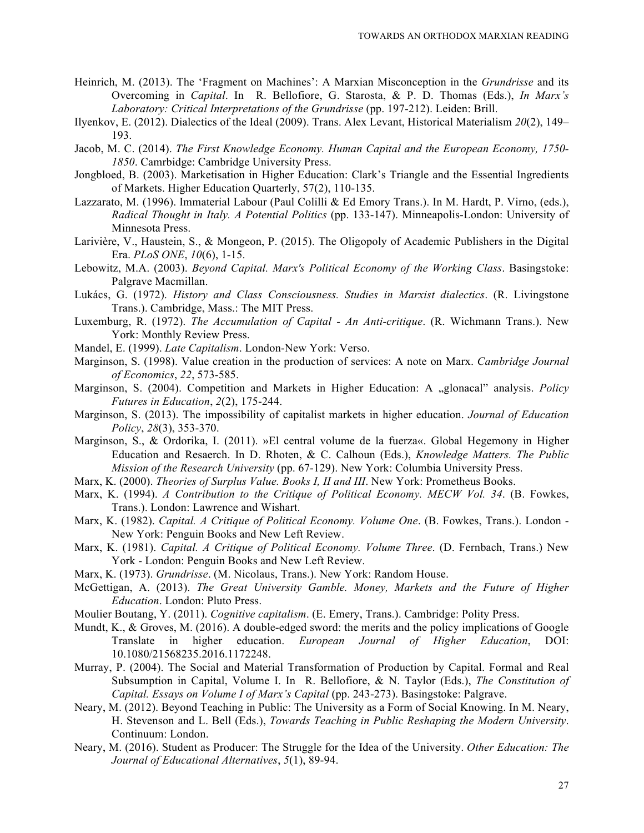- Heinrich, M. (2013). The 'Fragment on Machines': A Marxian Misconception in the *Grundrisse* and its Overcoming in *Capital*. In R. Bellofiore, G. Starosta, & P. D. Thomas (Eds.), *In Marx's Laboratory: Critical Interpretations of the Grundrisse* (pp. 197-212). Leiden: Brill.
- Ilyenkov, E. (2012). Dialectics of the Ideal (2009). Trans. Alex Levant, Historical Materialism *20*(2), 149– 193.
- Jacob, M. C. (2014). *The First Knowledge Economy. Human Capital and the European Economy, 1750- 1850*. Camrbidge: Cambridge University Press.
- Jongbloed, B. (2003). Marketisation in Higher Education: Clark's Triangle and the Essential Ingredients of Markets. Higher Education Quarterly, 57(2), 110-135.
- Lazzarato, M. (1996). Immaterial Labour (Paul Colilli & Ed Emory Trans.). In M. Hardt, P. Virno, (eds.), *Radical Thought in Italy. A Potential Politics* (pp. 133-147). Minneapolis-London: University of Minnesota Press.
- Larivière, V., Haustein, S., & Mongeon, P. (2015). The Oligopoly of Academic Publishers in the Digital Era. *PLoS ONE*, *10*(6), 1-15.
- Lebowitz, M.A. (2003). *Beyond Capital. Marx's Political Economy of the Working Class*. Basingstoke: Palgrave Macmillan.
- Lukács, G. (1972). *History and Class Consciousness. Studies in Marxist dialectics*. (R. Livingstone Trans.). Cambridge, Mass.: The MIT Press.
- Luxemburg, R. (1972). *The Accumulation of Capital - An Anti-critique*. (R. Wichmann Trans.). New York: Monthly Review Press.
- Mandel, E. (1999). *Late Capitalism*. London-New York: Verso.
- Marginson, S. (1998). Value creation in the production of services: A note on Marx. *Cambridge Journal of Economics*, *22*, 573-585.
- Marginson, S. (2004). Competition and Markets in Higher Education: A "glonacal" analysis. *Policy Futures in Education*, *2*(2), 175-244.
- Marginson, S. (2013). The impossibility of capitalist markets in higher education. *Journal of Education Policy*, *28*(3), 353-370.
- Marginson, S., & Ordorika, I. (2011). »El central volume de la fuerza«. Global Hegemony in Higher Education and Resaerch. In D. Rhoten, & C. Calhoun (Eds.), *Knowledge Matters. The Public Mission of the Research University* (pp. 67-129). New York: Columbia University Press.
- Marx, K. (2000). *Theories of Surplus Value. Books I, II and III*. New York: Prometheus Books.
- Marx, K. (1994). *A Contribution to the Critique of Political Economy. MECW Vol. 34*. (B. Fowkes, Trans.). London: Lawrence and Wishart.
- Marx, K. (1982). *Capital. A Critique of Political Economy. Volume One*. (B. Fowkes, Trans.). London New York: Penguin Books and New Left Review.
- Marx, K. (1981). *Capital. A Critique of Political Economy. Volume Three*. (D. Fernbach, Trans.) New York - London: Penguin Books and New Left Review.
- Marx, K. (1973). *Grundrisse*. (M. Nicolaus, Trans.). New York: Random House.
- McGettigan, A. (2013). *The Great University Gamble. Money, Markets and the Future of Higher Education*. London: Pluto Press.
- Moulier Boutang, Y. (2011). *Cognitive capitalism*. (E. Emery, Trans.). Cambridge: Polity Press.
- Mundt, K., & Groves, M. (2016). A double-edged sword: the merits and the policy implications of Google Translate in higher education. *European Journal of Higher Education*, DOI: 10.1080/21568235.2016.1172248.
- Murray, P. (2004). The Social and Material Transformation of Production by Capital. Formal and Real Subsumption in Capital, Volume I. In R. Bellofiore, & N. Taylor (Eds.), *The Constitution of Capital. Essays on Volume I of Marx's Capital* (pp. 243-273). Basingstoke: Palgrave.
- Neary, M. (2012). Beyond Teaching in Public: The University as a Form of Social Knowing. In M. Neary, H. Stevenson and L. Bell (Eds.), *Towards Teaching in Public Reshaping the Modern University*. Continuum: London.
- Neary, M. (2016). Student as Producer: The Struggle for the Idea of the University. *Other Education: The Journal of Educational Alternatives*, *5*(1), 89-94.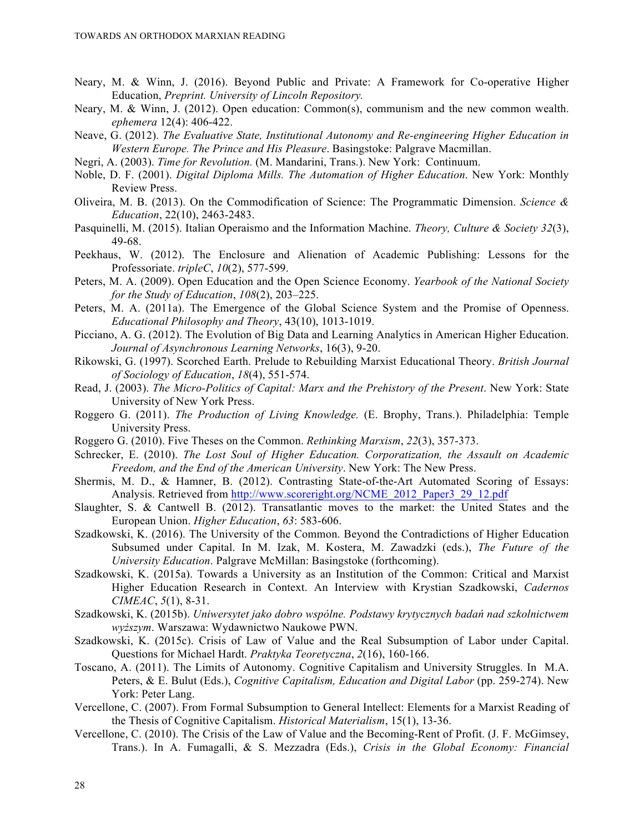- Neary, M. & Winn, J. (2016). Beyond Public and Private: A Framework for Co-operative Higher Education, *Preprint. University of Lincoln Repository.*
- Neary, M. & Winn, J. (2012). Open education: Common(s), communism and the new common wealth. *ephemera* 12(4): 406-422.
- Neave, G. (2012). *The Evaluative State, Institutional Autonomy and Re-engineering Higher Education in Western Europe. The Prince and His Pleasure*. Basingstoke: Palgrave Macmillan.
- Negri, A. (2003). *Time for Revolution.* (M. Mandarini, Trans.). New York: Continuum.
- Noble, D. F. (2001). *Digital Diploma Mills. The Automation of Higher Education*. New York: Monthly Review Press.
- Oliveira, M. B. (2013). On the Commodification of Science: The Programmatic Dimension. *Science & Education*, 22(10), 2463-2483.
- Pasquinelli, M. (2015). Italian Operaismo and the Information Machine. *Theory, Culture & Society 32*(3), 49-68.
- Peekhaus, W. (2012). The Enclosure and Alienation of Academic Publishing: Lessons for the Professoriate. *tripleC*, *10*(2), 577-599.
- Peters, M. A. (2009). Open Education and the Open Science Economy. *Yearbook of the National Society for the Study of Education*, *108*(2), 203–225.
- Peters, M. A. (2011a). The Emergence of the Global Science System and the Promise of Openness. *Educational Philosophy and Theory*, 43(10), 1013-1019.
- Picciano, A. G. (2012). The Evolution of Big Data and Learning Analytics in American Higher Education. *Journal of Asynchronous Learning Networks*, 16(3), 9-20.
- Rikowski, G. (1997). Scorched Earth. Prelude to Rebuilding Marxist Educational Theory. *British Journal of Sociology of Education*, *18*(4), 551-574.
- Read, J. (2003). *The Micro-Politics of Capital: Marx and the Prehistory of the Present*. New York: State University of New York Press.
- Roggero G. (2011). *The Production of Living Knowledge.* (E. Brophy, Trans.). Philadelphia: Temple University Press.
- Roggero G. (2010). Five Theses on the Common. *Rethinking Marxism*, *22*(3), 357-373.
- Schrecker, E. (2010). *The Lost Soul of Higher Education. Corporatization, the Assault on Academic Freedom, and the End of the American University*. New York: The New Press.
- Shermis, M. D., & Hamner, B. (2012). Contrasting State-of-the-Art Automated Scoring of Essays: Analysis. Retrieved from http://www.scoreright.org/NCME\_2012\_Paper3\_29\_12.pdf
- Slaughter, S. & Cantwell B. (2012). Transatlantic moves to the market: the United States and the European Union. *Higher Education*, *63*: 583-606.
- Szadkowski, K. (2016). The University of the Common. Beyond the Contradictions of Higher Education Subsumed under Capital. In M. Izak, M. Kostera, M. Zawadzki (eds.), *The Future of the University Education*. Palgrave McMillan: Basingstoke (forthcoming).
- Szadkowski, K. (2015a). Towards a University as an Institution of the Common: Critical and Marxist Higher Education Research in Context. An Interview with Krystian Szadkowski, *Cadernos CIMEAC*, *5*(1), 8-31.
- Szadkowski, K. (2015b). *Uniwersytet jako dobro wspólne. Podstawy krytycznych badań nad szkolnictwem wyższym*. Warszawa: Wydawnictwo Naukowe PWN.
- Szadkowski, K. (2015c). Crisis of Law of Value and the Real Subsumption of Labor under Capital. Questions for Michael Hardt. *Praktyka Teoretyczna*, *2*(16), 160-166.
- Toscano, A. (2011). The Limits of Autonomy. Cognitive Capitalism and University Struggles. In M.A. Peters, & E. Bulut (Eds.), *Cognitive Capitalism, Education and Digital Labor* (pp. 259-274). New York: Peter Lang.
- Vercellone, C. (2007). From Formal Subsumption to General Intellect: Elements for a Marxist Reading of the Thesis of Cognitive Capitalism. *Historical Materialism*, 15(1), 13-36.
- Vercellone, C. (2010). The Crisis of the Law of Value and the Becoming-Rent of Profit. (J. F. McGimsey, Trans.). In A. Fumagalli, & S. Mezzadra (Eds.), *Crisis in the Global Economy: Financial*